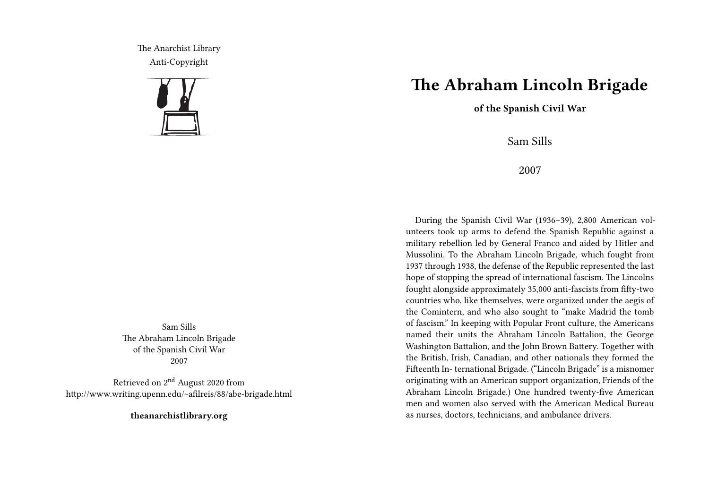The Anarchist Library Anti-Copyright



Sam Sills The Abraham Lincoln Brigade of the Spanish Civil War 2007

Retrieved on 2nd August 2020 from http://www.writing.upenn.edu/~afilreis/88/abe-brigade.html

**theanarchistlibrary.org**

## **The Abraham Lincoln Brigade**

**of the Spanish Civil War**

Sam Sills

2007

During the Spanish Civil War (1936–39), 2,800 American volunteers took up arms to defend the Spanish Republic against a military rebellion led by General Franco and aided by Hitler and Mussolini. To the Abraham Lincoln Brigade, which fought from 1937 through 1938, the defense of the Republic represented the last hope of stopping the spread of international fascism. The Lincolns fought alongside approximately 35,000 anti-fascists from fifty-two countries who, like themselves, were organized under the aegis of the Comintern, and who also sought to "make Madrid the tomb of fascism." In keeping with Popular Front culture, the Americans named their units the Abraham Lincoln Battalion, the George Washington Battalion, and the John Brown Battery. Together with the British, Irish, Canadian, and other nationals they formed the Fifteenth In- ternational Brigade. ("Lincoln Brigade" is a misnomer originating with an American support organization, Friends of the Abraham Lincoln Brigade.) One hundred twenty-five American men and women also served with the American Medical Bureau as nurses, doctors, technicians, and ambulance drivers.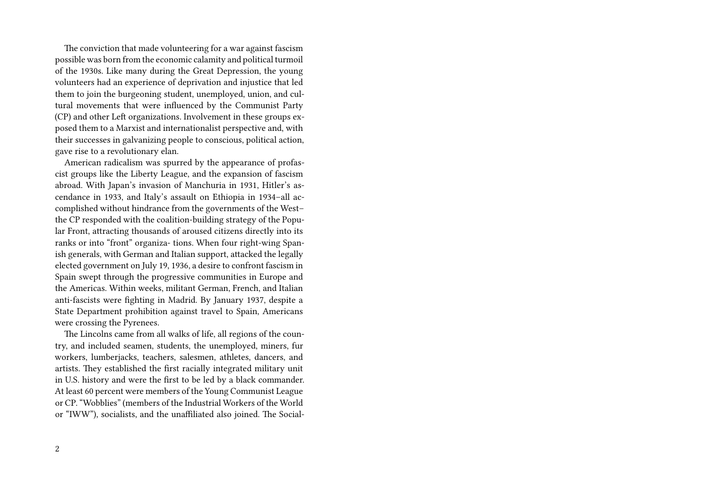The conviction that made volunteering for a war against fascism possible was born from the economic calamity and political turmoil of the 1930s. Like many during the Great Depression, the young volunteers had an experience of deprivation and injustice that led them to join the burgeoning student, unemployed, union, and cultural movements that were influenced by the Communist Party (CP) and other Left organizations. Involvement in these groups exposed them to a Marxist and internationalist perspective and, with their successes in galvanizing people to conscious, political action, gave rise to a revolutionary elan.

American radicalism was spurred by the appearance of profascist groups like the Liberty League, and the expansion of fascism abroad. With Japan's invasion of Manchuria in 1931, Hitler's ascendance in 1933, and Italy's assault on Ethiopia in 1934–all accomplished without hindrance from the governments of the West– the CP responded with the coalition-building strategy of the Popular Front, attracting thousands of aroused citizens directly into its ranks or into "front" organiza- tions. When four right-wing Spanish generals, with German and Italian support, attacked the legally elected government on July 19, 1936, a desire to confront fascism in Spain swept through the progressive communities in Europe and the Americas. Within weeks, militant German, French, and Italian anti-fascists were fighting in Madrid. By January 1937, despite a State Department prohibition against travel to Spain, Americans were crossing the Pyrenees.

The Lincolns came from all walks of life, all regions of the country, and included seamen, students, the unemployed, miners, fur workers, lumberjacks, teachers, salesmen, athletes, dancers, and artists. They established the first racially integrated military unit in U.S. history and were the first to be led by a black commander. At least 60 percent were members of the Young Communist League or CP. "Wobblies" (members of the Industrial Workers of the World or "IWW"), socialists, and the unaffiliated also joined. The Social-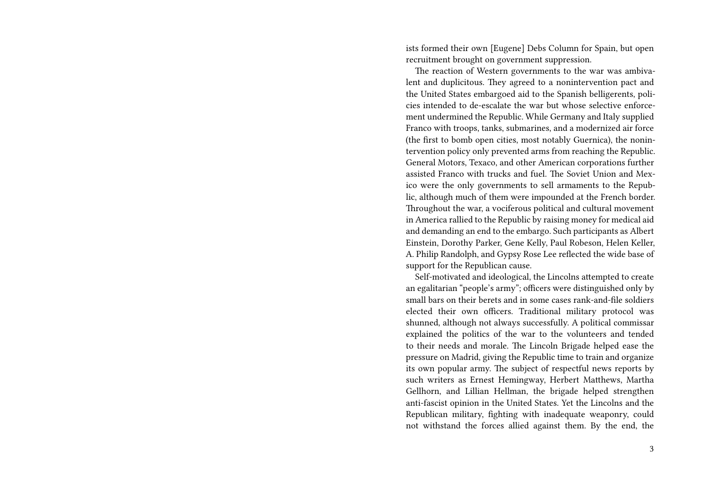ists formed their own [Eugene] Debs Column for Spain, but open recruitment brought on government suppression.

The reaction of Western governments to the war was ambivalent and duplicitous. They agreed to a nonintervention pact and the United States embargoed aid to the Spanish belligerents, policies intended to de-escalate the war but whose selective enforcement undermined the Republic. While Germany and Italy supplied Franco with troops, tanks, submarines, and a modernized air force (the first to bomb open cities, most notably Guernica), the nonintervention policy only prevented arms from reaching the Republic. General Motors, Texaco, and other American corporations further assisted Franco with trucks and fuel. The Soviet Union and Mexico were the only governments to sell armaments to the Republic, although much of them were impounded at the French border. Throughout the war, a vociferous political and cultural movement in America rallied to the Republic by raising money for medical aid and demanding an end to the embargo. Such participants as Albert Einstein, Dorothy Parker, Gene Kelly, Paul Robeson, Helen Keller, A. Philip Randolph, and Gypsy Rose Lee reflected the wide base of support for the Republican cause.

Self-motivated and ideological, the Lincolns attempted to create an egalitarian "people's army"; officers were distinguished only by small bars on their berets and in some cases rank-and-file soldiers elected their own officers. Traditional military protocol was shunned, although not always successfully. A political commissar explained the politics of the war to the volunteers and tended to their needs and morale. The Lincoln Brigade helped ease the pressure on Madrid, giving the Republic time to train and organize its own popular army. The subject of respectful news reports by such writers as Ernest Hemingway, Herbert Matthews, Martha Gellhorn, and Lillian Hellman, the brigade helped strengthen anti-fascist opinion in the United States. Yet the Lincolns and the Republican military, fighting with inadequate weaponry, could not withstand the forces allied against them. By the end, the